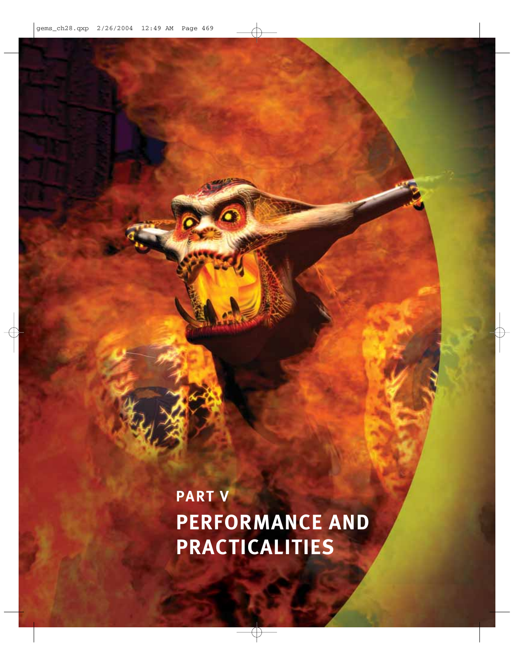**PART V PERFORMANCE AND PRACTICALITIES**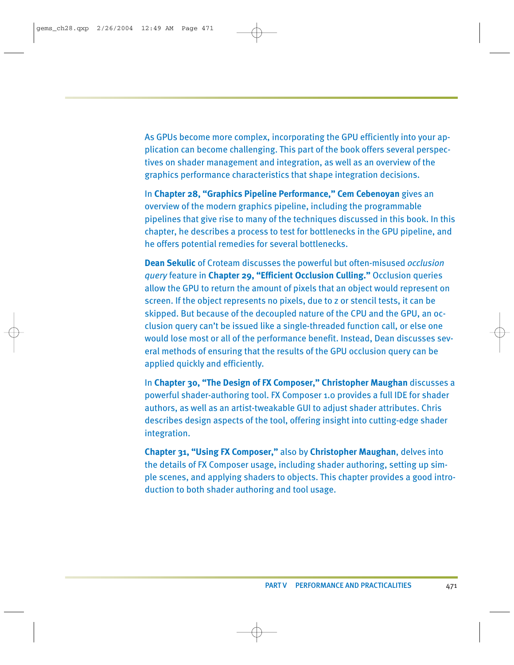As GPUs become more complex, incorporating the GPU efficiently into your application can become challenging. This part of the book offers several perspectives on shader management and integration, as well as an overview of the graphics performance characteristics that shape integration decisions.

In **Chapter 28, "Graphics Pipeline Performance," Cem Cebenoyan** gives an overview of the modern graphics pipeline, including the programmable pipelines that give rise to many of the techniques discussed in this book. In this chapter, he describes a process to test for bottlenecks in the GPU pipeline, and he offers potential remedies for several bottlenecks.

**Dean Sekulic** of Croteam discusses the powerful but often-misused *occlusion query* feature in **Chapter 29, "Efficient Occlusion Culling."** Occlusion queries allow the GPU to return the amount of pixels that an object would represent on screen. If the object represents no pixels, due to z or stencil tests, it can be skipped. But because of the decoupled nature of the CPU and the GPU, an occlusion query can't be issued like a single-threaded function call, or else one would lose most or all of the performance benefit. Instead, Dean discusses several methods of ensuring that the results of the GPU occlusion query can be applied quickly and efficiently.

In **Chapter 30, "The Design of FX Composer," Christopher Maughan** discusses a powerful shader-authoring tool. FX Composer 1.0 provides a full IDE for shader authors, as well as an artist-tweakable GUI to adjust shader attributes. Chris describes design aspects of the tool, offering insight into cutting-edge shader integration.

**Chapter 31, "Using FX Composer,"** also by **Christopher Maughan**, delves into the details of FX Composer usage, including shader authoring, setting up simple scenes, and applying shaders to objects. This chapter provides a good introduction to both shader authoring and tool usage.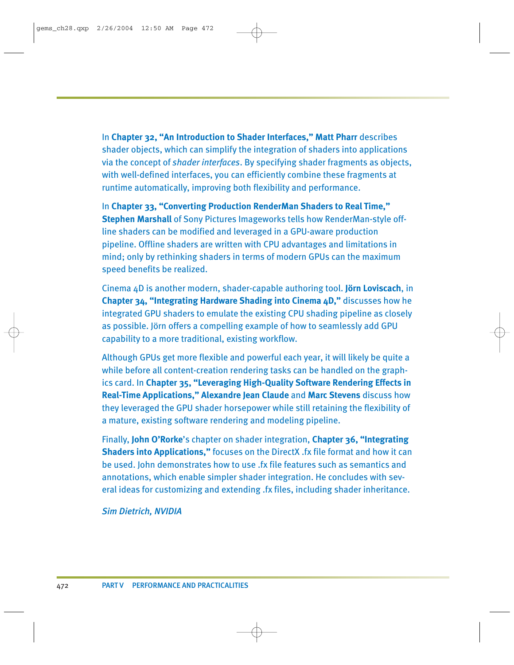In **Chapter 32, "An Introduction to Shader Interfaces," Matt Pharr** describes shader objects, which can simplify the integration of shaders into applications via the concept of *shader interfaces*. By specifying shader fragments as objects, with well-defined interfaces, you can efficiently combine these fragments at runtime automatically, improving both flexibility and performance.

In **Chapter 33, "Converting Production RenderMan Shaders to Real Time," Stephen Marshall** of Sony Pictures Imageworks tells how RenderMan-style offline shaders can be modified and leveraged in a GPU-aware production pipeline. Offline shaders are written with CPU advantages and limitations in mind; only by rethinking shaders in terms of modern GPUs can the maximum speed benefits be realized.

Cinema 4D is another modern, shader-capable authoring tool. **Jörn Loviscach**, in **Chapter 34, "Integrating Hardware Shading into Cinema 4D,"** discusses how he integrated GPU shaders to emulate the existing CPU shading pipeline as closely as possible. Jörn offers a compelling example of how to seamlessly add GPU capability to a more traditional, existing workflow.

Although GPUs get more flexible and powerful each year, it will likely be quite a while before all content-creation rendering tasks can be handled on the graphics card. In **Chapter 35, "Leveraging High-Quality Software Rendering Effects in Real-Time Applications," Alexandre Jean Claude** and **Marc Stevens** discuss how they leveraged the GPU shader horsepower while still retaining the flexibility of a mature, existing software rendering and modeling pipeline.

Finally, **John O'Rorke**'s chapter on shader integration, **Chapter 36, "Integrating Shaders into Applications,"** focuses on the DirectX .fx file format and how it can be used. John demonstrates how to use .fx file features such as semantics and annotations, which enable simpler shader integration. He concludes with several ideas for customizing and extending .fx files, including shader inheritance.

*Sim Dietrich, NVIDIA*

472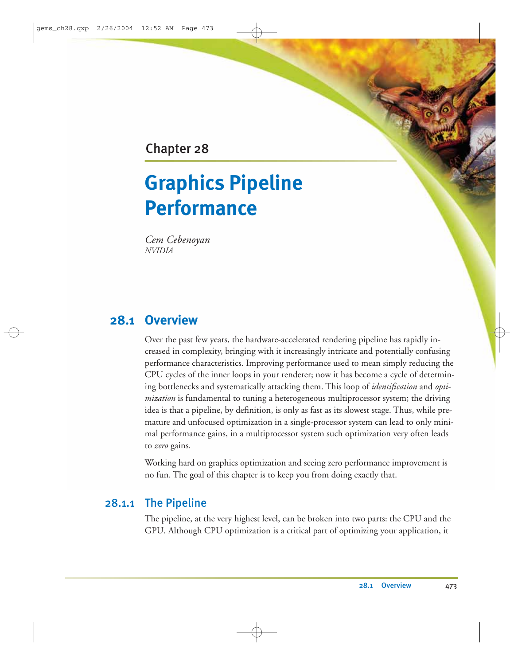# Chapter 28

# **Graphics Pipeline Performance**

*Cem Cebenoyan NVIDIA*

## **28.1 Overview**

Over the past few years, the hardware-accelerated rendering pipeline has rapidly increased in complexity, bringing with it increasingly intricate and potentially confusing performance characteristics. Improving performance used to mean simply reducing the CPU cycles of the inner loops in your renderer; now it has become a cycle of determining bottlenecks and systematically attacking them. This loop of *identification* and *optimization* is fundamental to tuning a heterogeneous multiprocessor system; the driving idea is that a pipeline, by definition, is only as fast as its slowest stage. Thus, while premature and unfocused optimization in a single-processor system can lead to only minimal performance gains, in a multiprocessor system such optimization very often leads to *zero* gains.

Working hard on graphics optimization and seeing zero performance improvement is no fun. The goal of this chapter is to keep you from doing exactly that.

### 28.1.1 The Pipeline

The pipeline, at the very highest level, can be broken into two parts: the CPU and the GPU. Although CPU optimization is a critical part of optimizing your application, it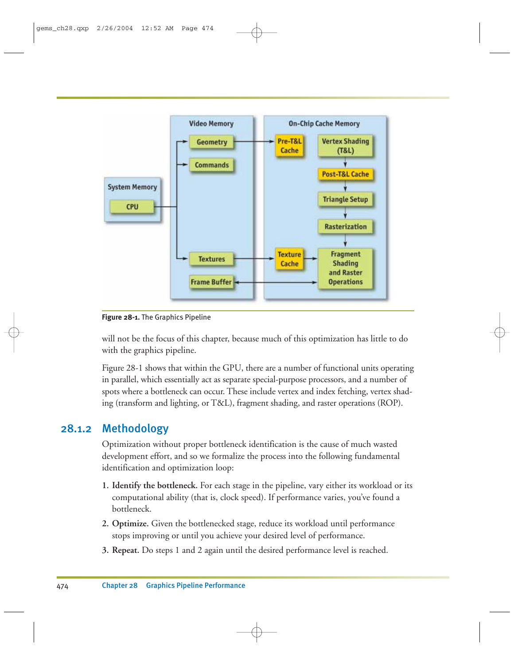

**Figure 28-1.** The Graphics Pipeline

will not be the focus of this chapter, because much of this optimization has little to do with the graphics pipeline.

Figure 28-1 shows that within the GPU, there are a number of functional units operating in parallel, which essentially act as separate special-purpose processors, and a number of spots where a bottleneck can occur. These include vertex and index fetching, vertex shading (transform and lighting, or T&L), fragment shading, and raster operations (ROP).

### 28.1.2 Methodology

Optimization without proper bottleneck identification is the cause of much wasted development effort, and so we formalize the process into the following fundamental identification and optimization loop:

- **1. Identify the bottleneck.** For each stage in the pipeline, vary either its workload or its computational ability (that is, clock speed). If performance varies, you've found a bottleneck.
- **2. Optimize.** Given the bottlenecked stage, reduce its workload until performance stops improving or until you achieve your desired level of performance.
- **3. Repeat.** Do steps 1 and 2 again until the desired performance level is reached.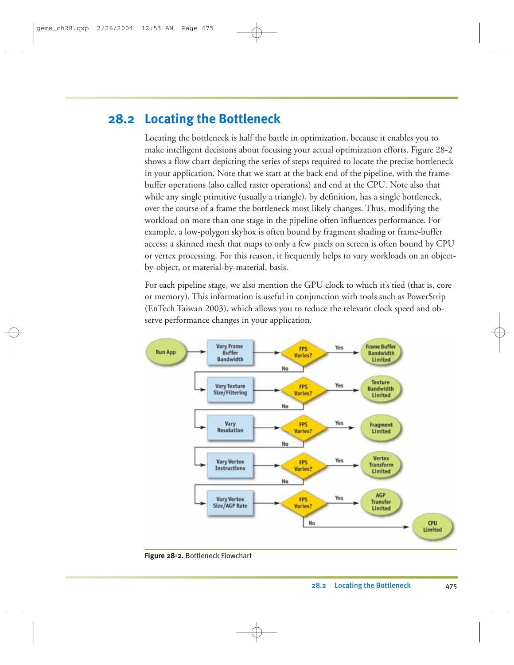## **28.2 Locating the Bottleneck**

Locating the bottleneck is half the battle in optimization, because it enables you to make intelligent decisions about focusing your actual optimization efforts. Figure 28-2 shows a flow chart depicting the series of steps required to locate the precise bottleneck in your application. Note that we start at the back end of the pipeline, with the framebuffer operations (also called raster operations) and end at the CPU. Note also that while any single primitive (usually a triangle), by definition, has a single bottleneck, over the course of a frame the bottleneck most likely changes. Thus, modifying the workload on more than one stage in the pipeline often influences performance. For example, a low-polygon skybox is often bound by fragment shading or frame-buffer access; a skinned mesh that maps to only a few pixels on screen is often bound by CPU or vertex processing. For this reason, it frequently helps to vary workloads on an objectby-object, or material-by-material, basis.

For each pipeline stage, we also mention the GPU clock to which it's tied (that is, core or memory). This information is useful in conjunction with tools such as PowerStrip (EnTech Taiwan 2003), which allows you to reduce the relevant clock speed and observe performance changes in your application.



**Figure 28-2.** Bottleneck Flowchart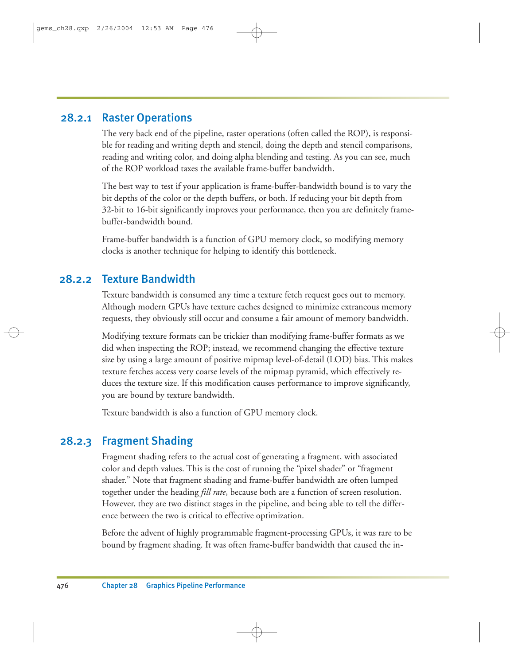### 28.2.1 Raster Operations

The very back end of the pipeline, raster operations (often called the ROP), is responsible for reading and writing depth and stencil, doing the depth and stencil comparisons, reading and writing color, and doing alpha blending and testing. As you can see, much of the ROP workload taxes the available frame-buffer bandwidth.

The best way to test if your application is frame-buffer-bandwidth bound is to vary the bit depths of the color or the depth buffers, or both. If reducing your bit depth from 32-bit to 16-bit significantly improves your performance, then you are definitely framebuffer-bandwidth bound.

Frame-buffer bandwidth is a function of GPU memory clock, so modifying memory clocks is another technique for helping to identify this bottleneck.

#### 28.2.2 Texture Bandwidth

Texture bandwidth is consumed any time a texture fetch request goes out to memory. Although modern GPUs have texture caches designed to minimize extraneous memory requests, they obviously still occur and consume a fair amount of memory bandwidth.

Modifying texture formats can be trickier than modifying frame-buffer formats as we did when inspecting the ROP; instead, we recommend changing the effective texture size by using a large amount of positive mipmap level-of-detail (LOD) bias. This makes texture fetches access very coarse levels of the mipmap pyramid, which effectively reduces the texture size. If this modification causes performance to improve significantly, you are bound by texture bandwidth.

Texture bandwidth is also a function of GPU memory clock.

#### 28.2.3 Fragment Shading

Fragment shading refers to the actual cost of generating a fragment, with associated color and depth values. This is the cost of running the "pixel shader" or "fragment shader." Note that fragment shading and frame-buffer bandwidth are often lumped together under the heading *fill rate*, because both are a function of screen resolution. However, they are two distinct stages in the pipeline, and being able to tell the difference between the two is critical to effective optimization.

Before the advent of highly programmable fragment-processing GPUs, it was rare to be bound by fragment shading. It was often frame-buffer bandwidth that caused the in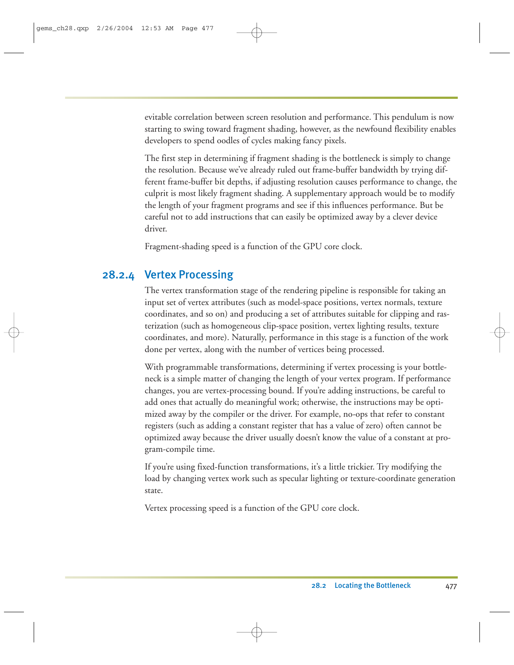evitable correlation between screen resolution and performance. This pendulum is now starting to swing toward fragment shading, however, as the newfound flexibility enables developers to spend oodles of cycles making fancy pixels.

The first step in determining if fragment shading is the bottleneck is simply to change the resolution. Because we've already ruled out frame-buffer bandwidth by trying different frame-buffer bit depths, if adjusting resolution causes performance to change, the culprit is most likely fragment shading. A supplementary approach would be to modify the length of your fragment programs and see if this influences performance. But be careful not to add instructions that can easily be optimized away by a clever device driver.

Fragment-shading speed is a function of the GPU core clock.

#### 28.2.4 Vertex Processing

The vertex transformation stage of the rendering pipeline is responsible for taking an input set of vertex attributes (such as model-space positions, vertex normals, texture coordinates, and so on) and producing a set of attributes suitable for clipping and rasterization (such as homogeneous clip-space position, vertex lighting results, texture coordinates, and more). Naturally, performance in this stage is a function of the work done per vertex, along with the number of vertices being processed.

With programmable transformations, determining if vertex processing is your bottleneck is a simple matter of changing the length of your vertex program. If performance changes, you are vertex-processing bound. If you're adding instructions, be careful to add ones that actually do meaningful work; otherwise, the instructions may be optimized away by the compiler or the driver. For example, no-ops that refer to constant registers (such as adding a constant register that has a value of zero) often cannot be optimized away because the driver usually doesn't know the value of a constant at program-compile time.

If you're using fixed-function transformations, it's a little trickier. Try modifying the load by changing vertex work such as specular lighting or texture-coordinate generation state.

Vertex processing speed is a function of the GPU core clock.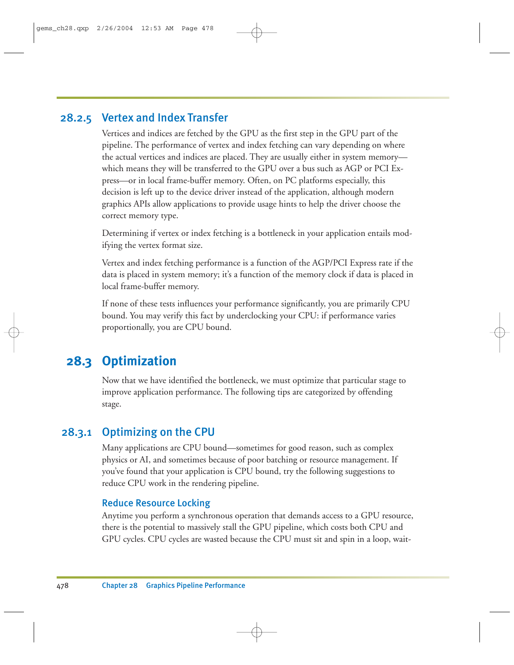## 28.2.5 Vertex and Index Transfer

Vertices and indices are fetched by the GPU as the first step in the GPU part of the pipeline. The performance of vertex and index fetching can vary depending on where the actual vertices and indices are placed. They are usually either in system memory which means they will be transferred to the GPU over a bus such as AGP or PCI Express—or in local frame-buffer memory. Often, on PC platforms especially, this decision is left up to the device driver instead of the application, although modern graphics APIs allow applications to provide usage hints to help the driver choose the correct memory type.

Determining if vertex or index fetching is a bottleneck in your application entails modifying the vertex format size.

Vertex and index fetching performance is a function of the AGP/PCI Express rate if the data is placed in system memory; it's a function of the memory clock if data is placed in local frame-buffer memory.

If none of these tests influences your performance significantly, you are primarily CPU bound. You may verify this fact by underclocking your CPU: if performance varies proportionally, you are CPU bound.

## **28.3 Optimization**

Now that we have identified the bottleneck, we must optimize that particular stage to improve application performance. The following tips are categorized by offending stage.

### 28.3.1 Optimizing on the CPU

Many applications are CPU bound—sometimes for good reason, such as complex physics or AI, and sometimes because of poor batching or resource management. If you've found that your application is CPU bound, try the following suggestions to reduce CPU work in the rendering pipeline.

#### Reduce Resource Locking

Anytime you perform a synchronous operation that demands access to a GPU resource, there is the potential to massively stall the GPU pipeline, which costs both CPU and GPU cycles. CPU cycles are wasted because the CPU must sit and spin in a loop, wait-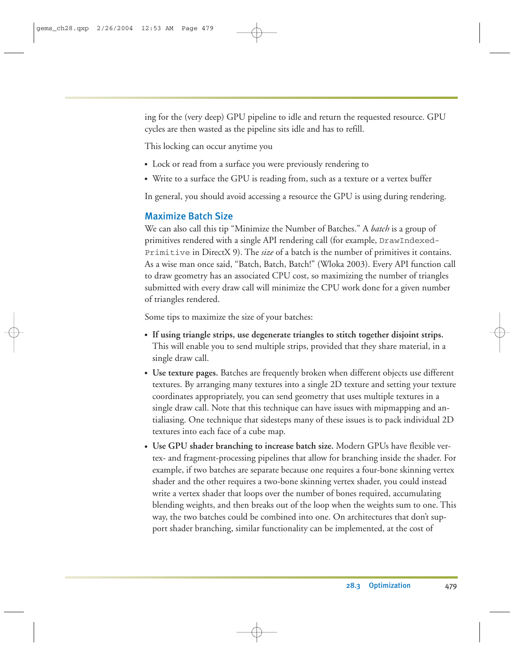ing for the (very deep) GPU pipeline to idle and return the requested resource. GPU cycles are then wasted as the pipeline sits idle and has to refill.

This locking can occur anytime you

- Lock or read from a surface you were previously rendering to
- Write to a surface the GPU is reading from, such as a texture or a vertex buffer

In general, you should avoid accessing a resource the GPU is using during rendering.

#### Maximize Batch Size

We can also call this tip "Minimize the Number of Batches." A *batch* is a group of primitives rendered with a single API rendering call (for example, DrawIndexed-Primitive in DirectX 9). The *size* of a batch is the number of primitives it contains. As a wise man once said, "Batch, Batch, Batch!" (Wloka 2003). Every API function call to draw geometry has an associated CPU cost, so maximizing the number of triangles submitted with every draw call will minimize the CPU work done for a given number of triangles rendered.

Some tips to maximize the size of your batches:

- **If using triangle strips, use degenerate triangles to stitch together disjoint strips.** This will enable you to send multiple strips, provided that they share material, in a single draw call.
- **Use texture pages.** Batches are frequently broken when different objects use different textures. By arranging many textures into a single 2D texture and setting your texture coordinates appropriately, you can send geometry that uses multiple textures in a single draw call. Note that this technique can have issues with mipmapping and antialiasing. One technique that sidesteps many of these issues is to pack individual 2D textures into each face of a cube map.
- Use GPU shader branching to increase batch size. Modern GPUs have flexible vertex- and fragment-processing pipelines that allow for branching inside the shader. For example, if two batches are separate because one requires a four-bone skinning vertex shader and the other requires a two-bone skinning vertex shader, you could instead write a vertex shader that loops over the number of bones required, accumulating blending weights, and then breaks out of the loop when the weights sum to one. This way, the two batches could be combined into one. On architectures that don't support shader branching, similar functionality can be implemented, at the cost of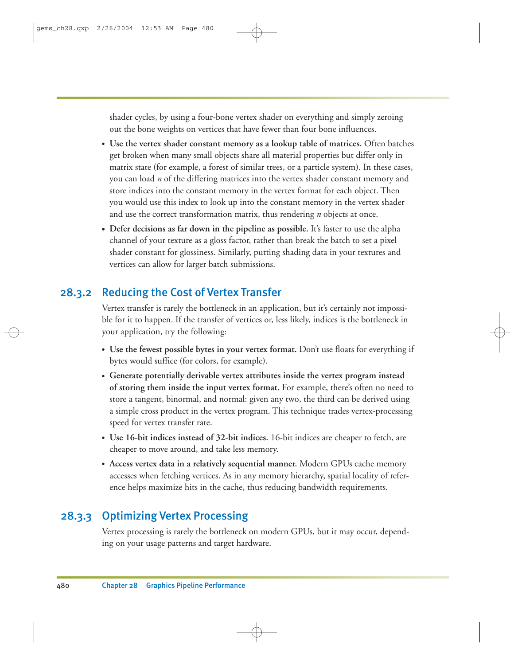shader cycles, by using a four-bone vertex shader on everything and simply zeroing out the bone weights on vertices that have fewer than four bone influences.

- Use the vertex shader constant memory as a lookup table of matrices. Often batches get broken when many small objects share all material properties but differ only in matrix state (for example, a forest of similar trees, or a particle system). In these cases, you can load *n* of the differing matrices into the vertex shader constant memory and store indices into the constant memory in the vertex format for each object. Then you would use this index to look up into the constant memory in the vertex shader and use the correct transformation matrix, thus rendering *n* objects at once.
- Defer decisions as far down in the pipeline as possible. It's faster to use the alpha channel of your texture as a gloss factor, rather than break the batch to set a pixel shader constant for glossiness. Similarly, putting shading data in your textures and vertices can allow for larger batch submissions.

### 28.3.2 Reducing the Cost of Vertex Transfer

Vertex transfer is rarely the bottleneck in an application, but it's certainly not impossible for it to happen. If the transfer of vertices or, less likely, indices is the bottleneck in your application, try the following:

- Use the fewest possible bytes in your vertex format. Don't use floats for everything if bytes would suffice (for colors, for example).
- **Generate potentially derivable vertex attributes inside the vertex program instead of storing them inside the input vertex format.** For example, there's often no need to store a tangent, binormal, and normal: given any two, the third can be derived using a simple cross product in the vertex program. This technique trades vertex-processing speed for vertex transfer rate.
- **Use 16-bit indices instead of 32-bit indices.** 16-bit indices are cheaper to fetch, are cheaper to move around, and take less memory.
- **Access vertex data in a relatively sequential manner.** Modern GPUs cache memory accesses when fetching vertices. As in any memory hierarchy, spatial locality of reference helps maximize hits in the cache, thus reducing bandwidth requirements.

### 28.3.3 Optimizing Vertex Processing

Vertex processing is rarely the bottleneck on modern GPUs, but it may occur, depending on your usage patterns and target hardware.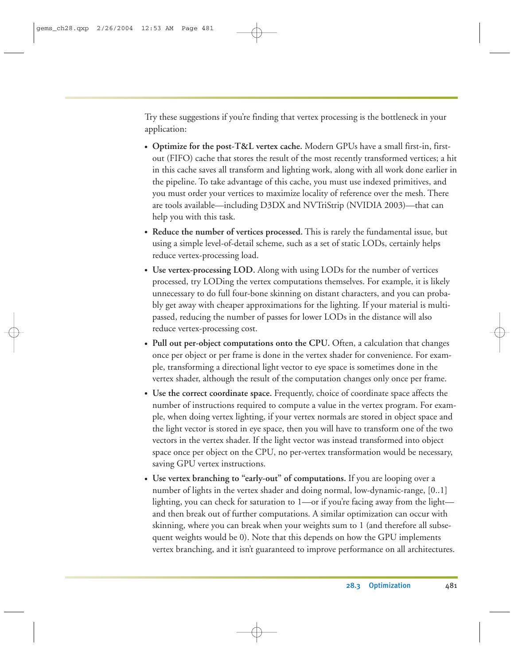Try these suggestions if you're finding that vertex processing is the bottleneck in your application:

- **Optimize for the post-T&L vertex cache.** Modern GPUs have a small first-in, firstout (FIFO) cache that stores the result of the most recently transformed vertices; a hit in this cache saves all transform and lighting work, along with all work done earlier in the pipeline. To take advantage of this cache, you must use indexed primitives, and you must order your vertices to maximize locality of reference over the mesh. There are tools available—including D3DX and NVTriStrip (NVIDIA 2003)—that can help you with this task.
- **Reduce the number of vertices processed.** This is rarely the fundamental issue, but using a simple level-of-detail scheme, such as a set of static LODs, certainly helps reduce vertex-processing load.
- Use vertex-processing LOD. Along with using LODs for the number of vertices processed, try LODing the vertex computations themselves. For example, it is likely unnecessary to do full four-bone skinning on distant characters, and you can probably get away with cheaper approximations for the lighting. If your material is multipassed, reducing the number of passes for lower LODs in the distance will also reduce vertex-processing cost.
- Pull out per-object computations onto the CPU. Often, a calculation that changes once per object or per frame is done in the vertex shader for convenience. For example, transforming a directional light vector to eye space is sometimes done in the vertex shader, although the result of the computation changes only once per frame.
- Use the correct coordinate space. Frequently, choice of coordinate space affects the number of instructions required to compute a value in the vertex program. For example, when doing vertex lighting, if your vertex normals are stored in object space and the light vector is stored in eye space, then you will have to transform one of the two vectors in the vertex shader. If the light vector was instead transformed into object space once per object on the CPU, no per-vertex transformation would be necessary, saving GPU vertex instructions.
- Use vertex branching to "early-out" of computations. If you are looping over a number of lights in the vertex shader and doing normal, low-dynamic-range, [0..1] lighting, you can check for saturation to 1—or if you're facing away from the light and then break out of further computations. A similar optimization can occur with skinning, where you can break when your weights sum to 1 (and therefore all subsequent weights would be 0). Note that this depends on how the GPU implements vertex branching, and it isn't guaranteed to improve performance on all architectures.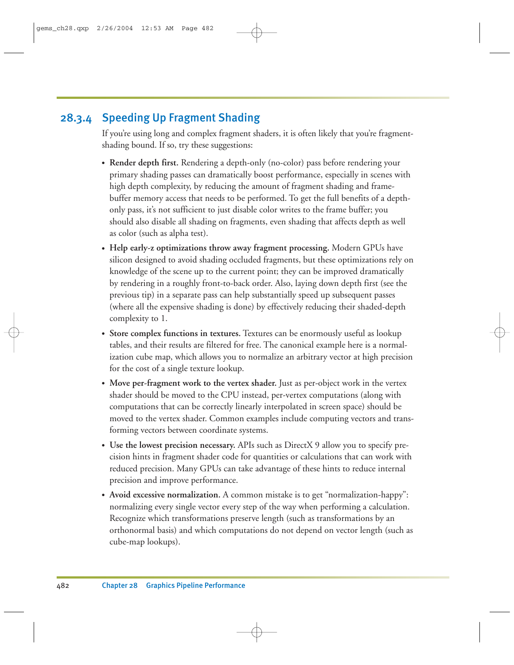## 28.3.4 Speeding Up Fragment Shading

If you're using long and complex fragment shaders, it is often likely that you're fragmentshading bound. If so, try these suggestions:

- **Render depth first.** Rendering a depth-only (no-color) pass before rendering your primary shading passes can dramatically boost performance, especially in scenes with high depth complexity, by reducing the amount of fragment shading and framebuffer memory access that needs to be performed. To get the full benefits of a depthonly pass, it's not sufficient to just disable color writes to the frame buffer; you should also disable all shading on fragments, even shading that affects depth as well as color (such as alpha test).
- **Help early-z optimizations throw away fragment processing.** Modern GPUs have silicon designed to avoid shading occluded fragments, but these optimizations rely on knowledge of the scene up to the current point; they can be improved dramatically by rendering in a roughly front-to-back order. Also, laying down depth first (see the previous tip) in a separate pass can help substantially speed up subsequent passes (where all the expensive shading is done) by effectively reducing their shaded-depth complexity to 1.
- **Store complex functions in textures.** Textures can be enormously useful as lookup tables, and their results are filtered for free. The canonical example here is a normalization cube map, which allows you to normalize an arbitrary vector at high precision for the cost of a single texture lookup.
- Move per-fragment work to the vertex shader. Just as per-object work in the vertex shader should be moved to the CPU instead, per-vertex computations (along with computations that can be correctly linearly interpolated in screen space) should be moved to the vertex shader. Common examples include computing vectors and transforming vectors between coordinate systems.
- Use the lowest precision necessary. APIs such as DirectX 9 allow you to specify precision hints in fragment shader code for quantities or calculations that can work with reduced precision. Many GPUs can take advantage of these hints to reduce internal precision and improve performance.
- **Avoid excessive normalization.** A common mistake is to get "normalization-happy": normalizing every single vector every step of the way when performing a calculation. Recognize which transformations preserve length (such as transformations by an orthonormal basis) and which computations do not depend on vector length (such as cube-map lookups).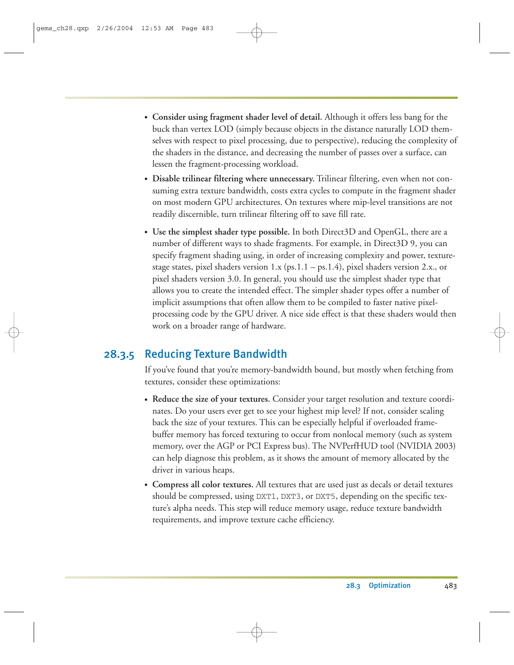- Consider using fragment shader level of detail. Although it offers less bang for the buck than vertex LOD (simply because objects in the distance naturally LOD themselves with respect to pixel processing, due to perspective), reducing the complexity of the shaders in the distance, and decreasing the number of passes over a surface, can lessen the fragment-processing workload.
- **Disable trilinear filtering where unnecessary.** Trilinear filtering, even when not consuming extra texture bandwidth, costs extra cycles to compute in the fragment shader on most modern GPU architectures. On textures where mip-level transitions are not readily discernible, turn trilinear filtering off to save fill rate.
- Use the simplest shader type possible. In both Direct3D and OpenGL, there are a number of different ways to shade fragments. For example, in Direct3D 9, you can specify fragment shading using, in order of increasing complexity and power, texturestage states, pixel shaders version 1.x (ps.1.1 – ps.1.4), pixel shaders version 2.x., or pixel shaders version 3.0. In general, you should use the simplest shader type that allows you to create the intended effect. The simpler shader types offer a number of implicit assumptions that often allow them to be compiled to faster native pixelprocessing code by the GPU driver. A nice side effect is that these shaders would then work on a broader range of hardware.

#### 28.3.5 Reducing Texture Bandwidth

If you've found that you're memory-bandwidth bound, but mostly when fetching from textures, consider these optimizations:

- **Reduce the size of your textures.** Consider your target resolution and texture coordinates. Do your users ever get to see your highest mip level? If not, consider scaling back the size of your textures. This can be especially helpful if overloaded framebuffer memory has forced texturing to occur from nonlocal memory (such as system memory, over the AGP or PCI Express bus). The NVPerfHUD tool (NVIDIA 2003) can help diagnose this problem, as it shows the amount of memory allocated by the driver in various heaps.
- Compress all color textures. All textures that are used just as decals or detail textures should be compressed, using DXT1, DXT3, or DXT5, depending on the specific texture's alpha needs. This step will reduce memory usage, reduce texture bandwidth requirements, and improve texture cache efficiency.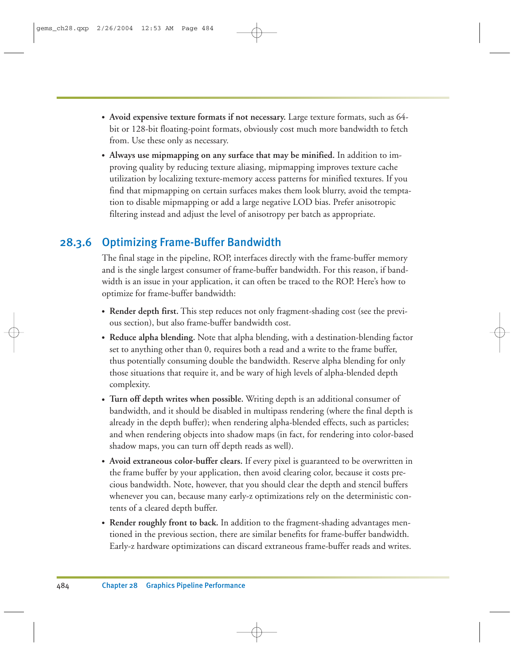- **Avoid expensive texture formats if not necessary.** Large texture formats, such as 64 bit or 128-bit floating-point formats, obviously cost much more bandwidth to fetch from. Use these only as necessary.
- **Always use mipmapping on any surface that may be minified.** In addition to improving quality by reducing texture aliasing, mipmapping improves texture cache utilization by localizing texture-memory access patterns for minified textures. If you find that mipmapping on certain surfaces makes them look blurry, avoid the temptation to disable mipmapping or add a large negative LOD bias. Prefer anisotropic filtering instead and adjust the level of anisotropy per batch as appropriate.

#### 28.3.6 Optimizing Frame-Buffer Bandwidth

The final stage in the pipeline, ROP, interfaces directly with the frame-buffer memory and is the single largest consumer of frame-buffer bandwidth. For this reason, if bandwidth is an issue in your application, it can often be traced to the ROP. Here's how to optimize for frame-buffer bandwidth:

- **Render depth first.** This step reduces not only fragment-shading cost (see the previous section), but also frame-buffer bandwidth cost.
- **Reduce alpha blending.** Note that alpha blending, with a destination-blending factor set to anything other than 0, requires both a read and a write to the frame buffer, thus potentially consuming double the bandwidth. Reserve alpha blending for only those situations that require it, and be wary of high levels of alpha-blended depth complexity.
- **Turn off depth writes when possible.** Writing depth is an additional consumer of bandwidth, and it should be disabled in multipass rendering (where the final depth is already in the depth buffer); when rendering alpha-blended effects, such as particles; and when rendering objects into shadow maps (in fact, for rendering into color-based shadow maps, you can turn off depth reads as well).
- **Avoid extraneous color-buffer clears.** If every pixel is guaranteed to be overwritten in the frame buffer by your application, then avoid clearing color, because it costs precious bandwidth. Note, however, that you should clear the depth and stencil buffers whenever you can, because many early-z optimizations rely on the deterministic contents of a cleared depth buffer.
- **Render roughly front to back.** In addition to the fragment-shading advantages mentioned in the previous section, there are similar benefits for frame-buffer bandwidth. Early-z hardware optimizations can discard extraneous frame-buffer reads and writes.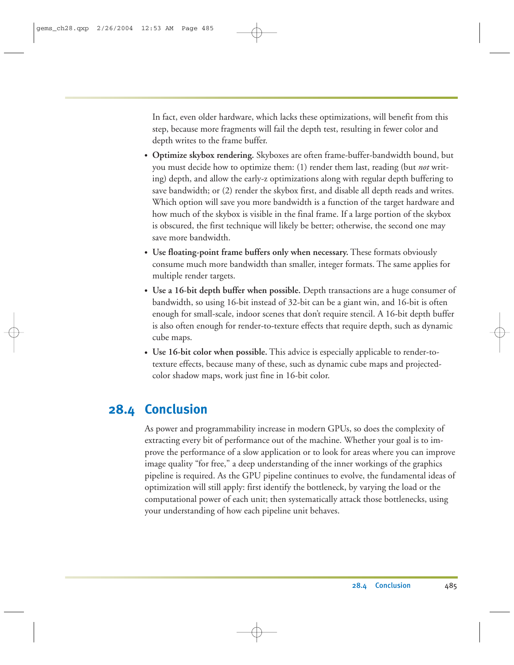In fact, even older hardware, which lacks these optimizations, will benefit from this step, because more fragments will fail the depth test, resulting in fewer color and depth writes to the frame buffer.

- **Optimize skybox rendering.** Skyboxes are often frame-buffer-bandwidth bound, but you must decide how to optimize them: (1) render them last, reading (but *not* writing) depth, and allow the early-z optimizations along with regular depth buffering to save bandwidth; or (2) render the skybox first, and disable all depth reads and writes. Which option will save you more bandwidth is a function of the target hardware and how much of the skybox is visible in the final frame. If a large portion of the skybox is obscured, the first technique will likely be better; otherwise, the second one may save more bandwidth.
- Use floating-point frame buffers only when necessary. These formats obviously consume much more bandwidth than smaller, integer formats. The same applies for multiple render targets.
- Use a 16-bit depth buffer when possible. Depth transactions are a huge consumer of bandwidth, so using 16-bit instead of 32-bit can be a giant win, and 16-bit is often enough for small-scale, indoor scenes that don't require stencil. A 16-bit depth buffer is also often enough for render-to-texture effects that require depth, such as dynamic cube maps.
- Use 16-bit color when possible. This advice is especially applicable to render-totexture effects, because many of these, such as dynamic cube maps and projectedcolor shadow maps, work just fine in 16-bit color.

## **28.4 Conclusion**

As power and programmability increase in modern GPUs, so does the complexity of extracting every bit of performance out of the machine. Whether your goal is to improve the performance of a slow application or to look for areas where you can improve image quality "for free," a deep understanding of the inner workings of the graphics pipeline is required. As the GPU pipeline continues to evolve, the fundamental ideas of optimization will still apply: first identify the bottleneck, by varying the load or the computational power of each unit; then systematically attack those bottlenecks, using your understanding of how each pipeline unit behaves.